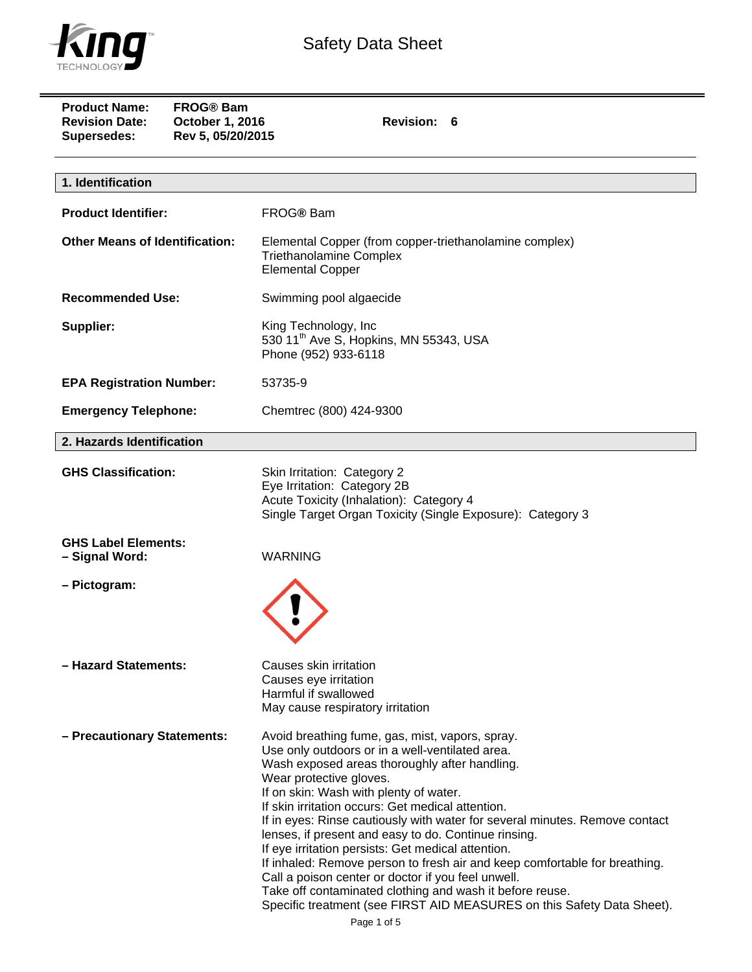

| <b>Product Name:</b><br><b>FROG® Bam</b><br><b>Revision Date:</b><br>October 1, 2016<br>Rev 5, 05/20/2015<br>Supersedes: | Revision: 6                                                                                                                                                                                                                                                                                                                                                                                                                                                                                                                                                                                                                                                                                                                                          |
|--------------------------------------------------------------------------------------------------------------------------|------------------------------------------------------------------------------------------------------------------------------------------------------------------------------------------------------------------------------------------------------------------------------------------------------------------------------------------------------------------------------------------------------------------------------------------------------------------------------------------------------------------------------------------------------------------------------------------------------------------------------------------------------------------------------------------------------------------------------------------------------|
| 1. Identification                                                                                                        |                                                                                                                                                                                                                                                                                                                                                                                                                                                                                                                                                                                                                                                                                                                                                      |
| <b>Product Identifier:</b>                                                                                               | FROG® Bam                                                                                                                                                                                                                                                                                                                                                                                                                                                                                                                                                                                                                                                                                                                                            |
| <b>Other Means of Identification:</b>                                                                                    | Elemental Copper (from copper-triethanolamine complex)<br><b>Triethanolamine Complex</b><br><b>Elemental Copper</b>                                                                                                                                                                                                                                                                                                                                                                                                                                                                                                                                                                                                                                  |
| <b>Recommended Use:</b>                                                                                                  | Swimming pool algaecide                                                                                                                                                                                                                                                                                                                                                                                                                                                                                                                                                                                                                                                                                                                              |
| Supplier:                                                                                                                | King Technology, Inc<br>530 11 <sup>th</sup> Ave S, Hopkins, MN 55343, USA<br>Phone (952) 933-6118                                                                                                                                                                                                                                                                                                                                                                                                                                                                                                                                                                                                                                                   |
| <b>EPA Registration Number:</b>                                                                                          | 53735-9                                                                                                                                                                                                                                                                                                                                                                                                                                                                                                                                                                                                                                                                                                                                              |
| <b>Emergency Telephone:</b>                                                                                              | Chemtrec (800) 424-9300                                                                                                                                                                                                                                                                                                                                                                                                                                                                                                                                                                                                                                                                                                                              |
| 2. Hazards Identification                                                                                                |                                                                                                                                                                                                                                                                                                                                                                                                                                                                                                                                                                                                                                                                                                                                                      |
| <b>GHS Classification:</b>                                                                                               | Skin Irritation: Category 2<br>Eye Irritation: Category 2B<br>Acute Toxicity (Inhalation): Category 4<br>Single Target Organ Toxicity (Single Exposure): Category 3                                                                                                                                                                                                                                                                                                                                                                                                                                                                                                                                                                                  |
| <b>GHS Label Elements:</b><br>- Signal Word:                                                                             | <b>WARNING</b>                                                                                                                                                                                                                                                                                                                                                                                                                                                                                                                                                                                                                                                                                                                                       |
| - Pictogram:                                                                                                             |                                                                                                                                                                                                                                                                                                                                                                                                                                                                                                                                                                                                                                                                                                                                                      |
| - Hazard Statements:                                                                                                     | Causes skin irritation<br>Causes eye irritation<br>Harmful if swallowed<br>May cause respiratory irritation                                                                                                                                                                                                                                                                                                                                                                                                                                                                                                                                                                                                                                          |
| - Precautionary Statements:                                                                                              | Avoid breathing fume, gas, mist, vapors, spray.<br>Use only outdoors or in a well-ventilated area.<br>Wash exposed areas thoroughly after handling.<br>Wear protective gloves.<br>If on skin: Wash with plenty of water.<br>If skin irritation occurs: Get medical attention.<br>If in eyes: Rinse cautiously with water for several minutes. Remove contact<br>lenses, if present and easy to do. Continue rinsing.<br>If eye irritation persists: Get medical attention.<br>If inhaled: Remove person to fresh air and keep comfortable for breathing.<br>Call a poison center or doctor if you feel unwell.<br>Take off contaminated clothing and wash it before reuse.<br>Specific treatment (see FIRST AID MEASURES on this Safety Data Sheet). |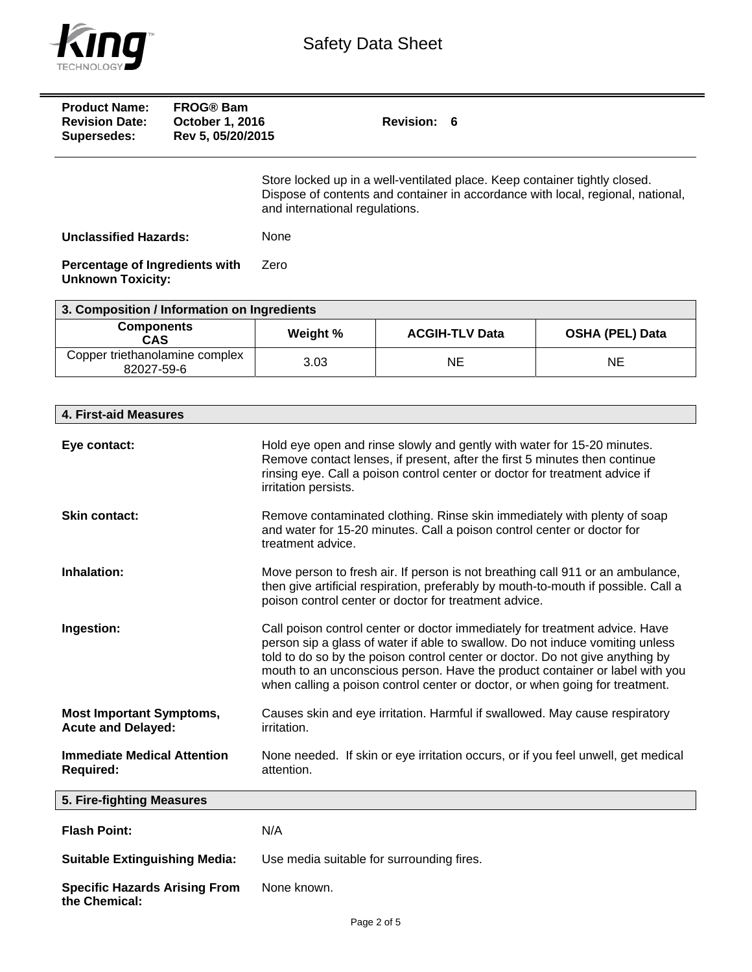

| <b>Product Name:</b><br><b>Revision Date:</b><br>Supersedes: | <b>FROG®</b> Bam<br><b>October 1, 2016</b><br>Rev 5, 05/20/2015 | Revision: 6                                                                                                                                                                                     |
|--------------------------------------------------------------|-----------------------------------------------------------------|-------------------------------------------------------------------------------------------------------------------------------------------------------------------------------------------------|
|                                                              |                                                                 | Store locked up in a well-ventilated place. Keep container tightly closed.<br>Dispose of contents and container in accordance with local, regional, national,<br>and international regulations. |
| <b>Unclassified Hazards:</b>                                 |                                                                 | None                                                                                                                                                                                            |
| Percentage of Ingredients with<br><b>Unknown Toxicity:</b>   |                                                                 | Zero                                                                                                                                                                                            |

| 3. Composition / Information on Ingredients  |          |                       |                        |
|----------------------------------------------|----------|-----------------------|------------------------|
| <b>Components</b><br><b>CAS</b>              | Weight % | <b>ACGIH-TLV Data</b> | <b>OSHA (PEL) Data</b> |
| Copper triethanolamine complex<br>82027-59-6 | 3.03     | NE                    | ΝE                     |

| 4. First-aid Measures                                        |                                                                                                                                                                                                                                                                                                                                                                                                               |
|--------------------------------------------------------------|---------------------------------------------------------------------------------------------------------------------------------------------------------------------------------------------------------------------------------------------------------------------------------------------------------------------------------------------------------------------------------------------------------------|
| Eye contact:                                                 | Hold eye open and rinse slowly and gently with water for 15-20 minutes.<br>Remove contact lenses, if present, after the first 5 minutes then continue<br>rinsing eye. Call a poison control center or doctor for treatment advice if<br>irritation persists.                                                                                                                                                  |
| <b>Skin contact:</b>                                         | Remove contaminated clothing. Rinse skin immediately with plenty of soap<br>and water for 15-20 minutes. Call a poison control center or doctor for<br>treatment advice.                                                                                                                                                                                                                                      |
| Inhalation:                                                  | Move person to fresh air. If person is not breathing call 911 or an ambulance,<br>then give artificial respiration, preferably by mouth-to-mouth if possible. Call a<br>poison control center or doctor for treatment advice.                                                                                                                                                                                 |
| Ingestion:                                                   | Call poison control center or doctor immediately for treatment advice. Have<br>person sip a glass of water if able to swallow. Do not induce vomiting unless<br>told to do so by the poison control center or doctor. Do not give anything by<br>mouth to an unconscious person. Have the product container or label with you<br>when calling a poison control center or doctor, or when going for treatment. |
| <b>Most Important Symptoms,</b><br><b>Acute and Delayed:</b> | Causes skin and eye irritation. Harmful if swallowed. May cause respiratory<br>irritation.                                                                                                                                                                                                                                                                                                                    |
| <b>Immediate Medical Attention</b><br><b>Required:</b>       | None needed. If skin or eye irritation occurs, or if you feel unwell, get medical<br>attention.                                                                                                                                                                                                                                                                                                               |
| 5. Fire-fighting Measures                                    |                                                                                                                                                                                                                                                                                                                                                                                                               |
| <b>Flash Point:</b>                                          | N/A                                                                                                                                                                                                                                                                                                                                                                                                           |
| <b>Suitable Extinguishing Media:</b>                         | Use media suitable for surrounding fires.                                                                                                                                                                                                                                                                                                                                                                     |
| <b>Specific Hazards Arising From</b><br>the Chemical:        | None known.                                                                                                                                                                                                                                                                                                                                                                                                   |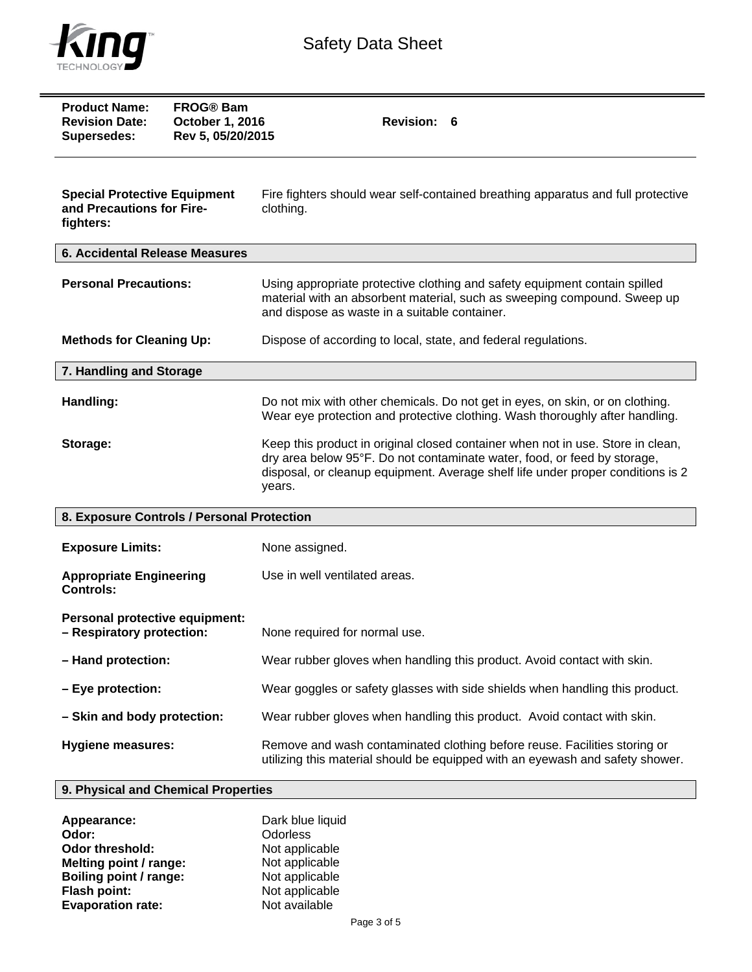

| <b>Product Name:</b><br><b>Revision Date:</b><br><b>Supersedes:</b>           | <b>FROG® Bam</b><br>October 1, 2016<br>Rev 5, 05/20/2015 | <b>Revision:</b><br>6                                                                                                                                                                                                                                    |
|-------------------------------------------------------------------------------|----------------------------------------------------------|----------------------------------------------------------------------------------------------------------------------------------------------------------------------------------------------------------------------------------------------------------|
| <b>Special Protective Equipment</b><br>and Precautions for Fire-<br>fighters: |                                                          | Fire fighters should wear self-contained breathing apparatus and full protective<br>clothing.                                                                                                                                                            |
| <b>6. Accidental Release Measures</b>                                         |                                                          |                                                                                                                                                                                                                                                          |
| <b>Personal Precautions:</b>                                                  |                                                          | Using appropriate protective clothing and safety equipment contain spilled<br>material with an absorbent material, such as sweeping compound. Sweep up<br>and dispose as waste in a suitable container.                                                  |
| <b>Methods for Cleaning Up:</b>                                               |                                                          | Dispose of according to local, state, and federal regulations.                                                                                                                                                                                           |
| 7. Handling and Storage                                                       |                                                          |                                                                                                                                                                                                                                                          |
| Handling:                                                                     |                                                          | Do not mix with other chemicals. Do not get in eyes, on skin, or on clothing.<br>Wear eye protection and protective clothing. Wash thoroughly after handling.                                                                                            |
| Storage:                                                                      |                                                          | Keep this product in original closed container when not in use. Store in clean,<br>dry area below 95°F. Do not contaminate water, food, or feed by storage,<br>disposal, or cleanup equipment. Average shelf life under proper conditions is 2<br>years. |
| 8. Exposure Controls / Personal Protection                                    |                                                          |                                                                                                                                                                                                                                                          |
| <b>Exposure Limits:</b>                                                       |                                                          | None assigned.                                                                                                                                                                                                                                           |
| <b>Appropriate Engineering</b><br><b>Controls:</b>                            |                                                          | Use in well ventilated areas.                                                                                                                                                                                                                            |
| Personal protective equipment:<br>- Respiratory protection:                   |                                                          | None required for normal use.                                                                                                                                                                                                                            |
| - Hand protection:                                                            |                                                          | Wear rubber gloves when handling this product. Avoid contact with skin.                                                                                                                                                                                  |
| - Eye protection:                                                             |                                                          | Wear goggles or safety glasses with side shields when handling this product.                                                                                                                                                                             |
| - Skin and body protection:                                                   |                                                          | Wear rubber gloves when handling this product. Avoid contact with skin.                                                                                                                                                                                  |
| <b>Hygiene measures:</b>                                                      |                                                          | Remove and wash contaminated clothing before reuse. Facilities storing or<br>utilizing this material should be equipped with an eyewash and safety shower.                                                                                               |

## **9. Physical and Chemical Properties**

| Appearance:              | Dark blue liquid |
|--------------------------|------------------|
| Odor:                    | <b>Odorless</b>  |
| <b>Odor threshold:</b>   | Not applicable   |
| Melting point / range:   | Not applicable   |
| Boiling point / range:   | Not applicable   |
| <b>Flash point:</b>      | Not applicable   |
| <b>Evaporation rate:</b> | Not available    |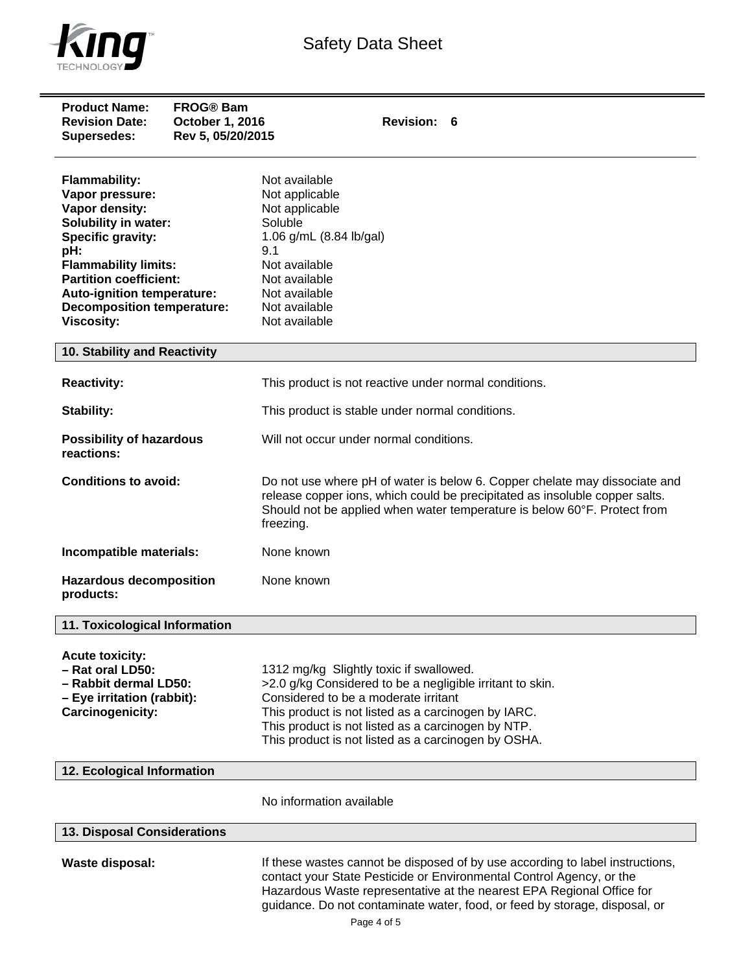

| <b>Product Name:</b><br><b>Revision Date:</b><br><b>Supersedes:</b>                                                                                                                                                                                                   | <b>FROG® Bam</b><br>October 1, 2016<br>Rev 5, 05/20/2015 | <b>Revision:</b><br>6                                                                                                                                                                                                                                                                                                       |
|-----------------------------------------------------------------------------------------------------------------------------------------------------------------------------------------------------------------------------------------------------------------------|----------------------------------------------------------|-----------------------------------------------------------------------------------------------------------------------------------------------------------------------------------------------------------------------------------------------------------------------------------------------------------------------------|
| <b>Flammability:</b><br>Vapor pressure:<br>Vapor density:<br>Solubility in water:<br>Specific gravity:<br>pH:<br><b>Flammability limits:</b><br><b>Partition coefficient:</b><br>Auto-ignition temperature:<br><b>Decomposition temperature:</b><br><b>Viscosity:</b> |                                                          | Not available<br>Not applicable<br>Not applicable<br>Soluble<br>1.06 g/mL (8.84 lb/gal)<br>9.1<br>Not available<br>Not available<br>Not available<br>Not available<br>Not available                                                                                                                                         |
| 10. Stability and Reactivity                                                                                                                                                                                                                                          |                                                          |                                                                                                                                                                                                                                                                                                                             |
| <b>Reactivity:</b>                                                                                                                                                                                                                                                    |                                                          | This product is not reactive under normal conditions.                                                                                                                                                                                                                                                                       |
| Stability:                                                                                                                                                                                                                                                            |                                                          | This product is stable under normal conditions.                                                                                                                                                                                                                                                                             |
| <b>Possibility of hazardous</b><br>reactions:                                                                                                                                                                                                                         |                                                          | Will not occur under normal conditions.                                                                                                                                                                                                                                                                                     |
| <b>Conditions to avoid:</b>                                                                                                                                                                                                                                           |                                                          | Do not use where pH of water is below 6. Copper chelate may dissociate and<br>release copper ions, which could be precipitated as insoluble copper salts.<br>Should not be applied when water temperature is below 60°F. Protect from<br>freezing.                                                                          |
| Incompatible materials:                                                                                                                                                                                                                                               |                                                          | None known                                                                                                                                                                                                                                                                                                                  |
| <b>Hazardous decomposition</b><br>products:                                                                                                                                                                                                                           |                                                          | None known                                                                                                                                                                                                                                                                                                                  |
| 11. Toxicological Information                                                                                                                                                                                                                                         |                                                          |                                                                                                                                                                                                                                                                                                                             |
| <b>Acute toxicity:</b><br>- Rat oral LD50:<br>- Rabbit dermal LD50:<br>- Eye irritation (rabbit):<br>Carcinogenicity:                                                                                                                                                 |                                                          | 1312 mg/kg Slightly toxic if swallowed.<br>>2.0 g/kg Considered to be a negligible irritant to skin.<br>Considered to be a moderate irritant<br>This product is not listed as a carcinogen by IARC.<br>This product is not listed as a carcinogen by NTP.<br>This product is not listed as a carcinogen by OSHA.            |
| 12. Ecological Information                                                                                                                                                                                                                                            |                                                          |                                                                                                                                                                                                                                                                                                                             |
|                                                                                                                                                                                                                                                                       |                                                          | No information available                                                                                                                                                                                                                                                                                                    |
| 13. Disposal Considerations                                                                                                                                                                                                                                           |                                                          |                                                                                                                                                                                                                                                                                                                             |
| <b>Waste disposal:</b>                                                                                                                                                                                                                                                |                                                          | If these wastes cannot be disposed of by use according to label instructions,<br>contact your State Pesticide or Environmental Control Agency, or the<br>Hazardous Waste representative at the nearest EPA Regional Office for<br>guidance. Do not contaminate water, food, or feed by storage, disposal, or<br>Page 4 of 5 |